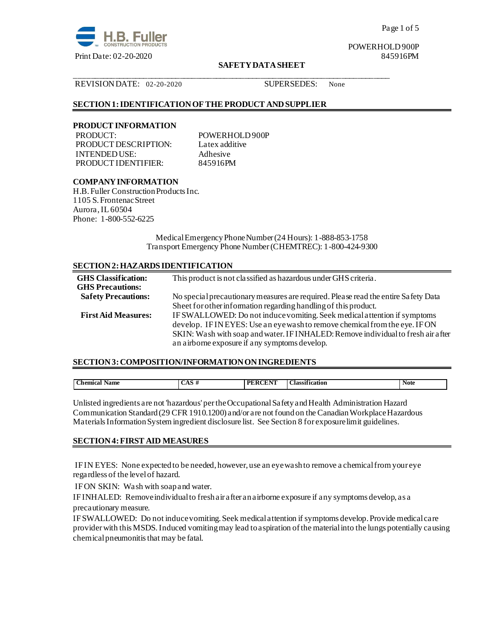

Page 1 of 5

POWERHOLD 900P

# **SAFETY DATA SHEET**

#### REVISION DATE: 02-20-2020 SUPERSEDES: None

# **SECTION 1: IDENTIFICATION OF THE PRODUCT AND SUPPLIER**

### **PRODUCT INFORMATION**

PRODUCT: POWERHOLD 900P PRODUCT DESCRIPTION: Latex additive INTENDED USE:<br>
PRODUCT IDENTIFIER: 845916PM PRODUCT IDENTIFIER:

\_\_\_\_\_\_\_\_\_\_\_\_\_\_\_\_\_\_\_\_\_\_\_\_\_\_\_\_\_\_\_\_\_\_\_\_\_\_\_\_\_\_\_\_\_\_\_\_\_\_\_\_\_\_\_\_\_\_\_\_\_\_\_\_\_\_\_\_\_\_\_\_\_\_\_\_\_\_

# **COMPANY INFORMATION**

H.B. Fuller Construction Products Inc. 1105 S. Frontenac Street Aurora, IL 60504 Phone: 1-800-552-6225

> Medical Emergency Phone Number (24 Hours): 1-888-853-1758 Transport Emergency Phone Number (CHEMTREC): 1-800-424-9300

# **SECTION 2: HAZARDS IDENTIFICATION**

| <b>GHS</b> Classification: | This product is not classified as hazardous under GHS criteria.                    |
|----------------------------|------------------------------------------------------------------------------------|
| <b>GHS Precautions:</b>    |                                                                                    |
| <b>Safety Precautions:</b> | No special precautionary measures are required. Please read the entire Safety Data |
|                            | Sheet for other information regarding handling of this product.                    |
| <b>First Aid Measures:</b> | IF SWALLOWED: Do not induce vomiting. Seek medical attention if symptoms           |
|                            | develop. IF INEYES: Use an eye wash to remove chemical from the eye. IF ON         |
|                            | SKIN: Wash with soap and water. IF INHALED: Remove individual to fresh air after   |
|                            | an airborne exposure if any symptoms develop.                                      |

#### **SECTION 3: COMPOSITION/INFORMATION ON INGREDIENTS**

| . hemical<br>Name | -<br>л<br>______ | <b>CONTACTOR</b><br>DE<br>$\sim$ $\sim$ | $\bullet$<br>$\sim$<br>Jassi<br>icatior<br>.<br>- - - - | Note |
|-------------------|------------------|-----------------------------------------|---------------------------------------------------------|------|
|                   |                  |                                         |                                                         |      |

Unlisted ingredients are not 'hazardous' per the Occupational Safety and Health Administration Hazard Communication Standard (29 CFR 1910.1200) and/or are not found on the Canadian Workplace Hazardous Materials Information System ingredient disclosure list. See Section 8 for exposure limit guidelines.

#### **SECTION 4: FIRST AID MEASURES**

IF IN EYES: None expected to be needed, however, use an eye wash to remove a chemical from your eye regardless of the level of hazard.

IF ON SKIN: Wash with soap and water.

IF INHALED: Remove individual to fresh air after an airborne exposure if any symptoms develop, as a precautionary measure.

IF SWALLOWED:Do not induce vomiting. Seek medical attention if symptoms develop. Provide medical care provider with this MSDS.Induced vomiting may lead to aspiration of the material into the lungs potentially causing chemical pneumonitis that may be fatal.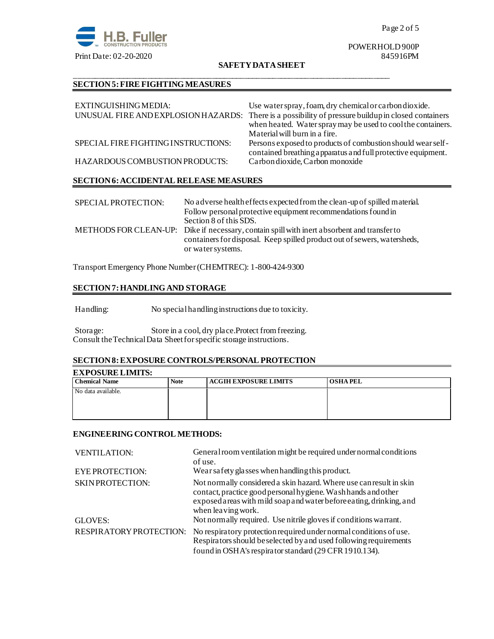

# POWERHOLD 900P

### **SAFETY DATA SHEET**

\_\_\_\_\_\_\_\_\_\_\_\_\_\_\_\_\_\_\_\_\_\_\_\_\_\_\_\_\_\_\_\_\_\_\_\_\_\_\_\_\_\_\_\_\_\_\_\_\_\_\_\_\_\_\_\_\_\_\_\_\_\_\_\_\_\_\_\_\_\_\_\_\_\_\_\_\_\_

# **SECTION 5: FIRE FIGHTING MEASURES**

| EXTINGUISHING MEDIA:                | Use water spray, foam, dry chemical or carbon dioxide.<br>UNUSUAL FIRE AND EXPLOSION HAZARDS: There is a possibility of pressure buildup in closed containers<br>when heated. Water spray may be used to cool the containers.<br>Material will burn in a fire. |
|-------------------------------------|----------------------------------------------------------------------------------------------------------------------------------------------------------------------------------------------------------------------------------------------------------------|
| SPECIAL FIRE FIGHTING INSTRUCTIONS: | Persons exposed to products of combustion should wear self-<br>contained breathing apparatus and full protective equipment.                                                                                                                                    |
| HAZARDOUS COMBUSTION PRODUCTS:      | Carbon dioxide, Carbon monoxide                                                                                                                                                                                                                                |

# **SECTION 6: ACCIDENTAL RELEASE MEASURES**

| SPECIAL PROTECTION: | No a dverse health effects expected from the clean-up of spilled material.<br>Follow personal protective equipment recommendations found in |
|---------------------|---------------------------------------------------------------------------------------------------------------------------------------------|
|                     | Section 8 of this SDS.                                                                                                                      |
|                     | METHODS FOR CLEAN-UP: Dike if necessary, contain spill with inert absorbent and transfer to                                                 |
|                     | containers for disposal. Keep spilled product out of sewers, watersheds,                                                                    |
|                     | or water systems.                                                                                                                           |

Transport Emergency Phone Number (CHEMTREC): 1-800-424-9300

# **SECTION 7: HANDLING AND STORAGE**

Handling: No special handling instructions due to toxicity.

Storage: Store in a cool, dry place.Protect from freezing. Consult the Technical Data Sheet for specific storage instructions.

# **SECTION 8: EXPOSURE CONTROLS/PERSONAL PROTECTION**

# **EXPOSURE LIMITS:**

| <b>Chemical Name</b> | <b>Note</b> | <b>ACGIH EXPOSURE LIMITS</b> | <b>OSHAPEL</b> |
|----------------------|-------------|------------------------------|----------------|
| No data available.   |             |                              |                |
|                      |             |                              |                |

# **ENGINEERING CONTROL METHODS:**

| <b>VENTILATION:</b>            | General room ventilation might be required under normal conditions<br>of use.                                                                                                                                                     |
|--------------------------------|-----------------------------------------------------------------------------------------------------------------------------------------------------------------------------------------------------------------------------------|
| <b>EYE PROTECTION:</b>         | Wear safety glasses when handling this product.                                                                                                                                                                                   |
| <b>SKIN PROTECTION:</b>        | Not normally considered a skin hazard. Where use can result in skin<br>contact, practice good personal hygiene. Wash hands and other<br>exposed areas with mild soap and water before eating, drinking, and<br>when leaving work. |
| GLOVES:                        | Not normally required. Use nitrile gloves if conditions warrant.                                                                                                                                                                  |
| <b>RESPIRATORY PROTECTION:</b> | No respiratory protection required under normal conditions of use.<br>Respirators should be selected by and used following requirements<br>found in OSHA's respirator standard (29 CFR 1910.134).                                 |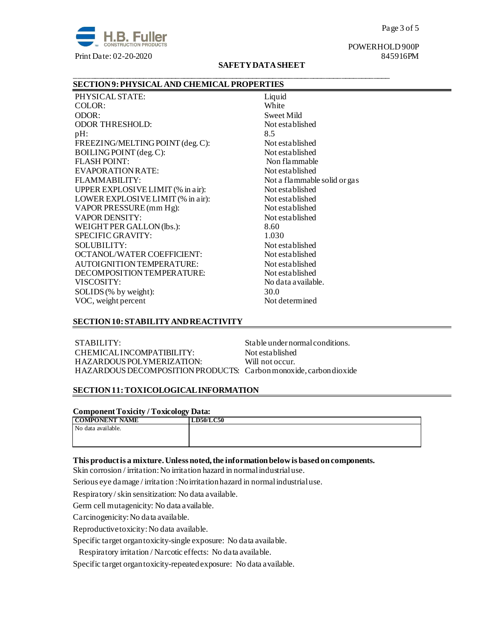

#### Page 3 of 5

POWERHOLD 900P

# **SAFETY DATA SHEET**

\_\_\_\_\_\_\_\_\_\_\_\_\_\_\_\_\_\_\_\_\_\_\_\_\_\_\_\_\_\_\_\_\_\_\_\_\_\_\_\_\_\_\_\_\_\_\_\_\_\_\_\_\_\_\_\_\_\_\_\_\_\_\_\_\_\_\_\_\_\_\_\_\_\_\_\_\_\_

# **SECTION 9: PHYSICAL AND CHEMICAL PROPERTIES**

PHYSICAL STATE:<br>
COLOR: United States and Muslim Muslim Muslim Muslim Muslim Muslim Muslim Muslim Muslim Muslim Muslim Muslim Muslim Muslim Muslim Muslim Muslim Muslim Muslim Muslim Muslim Muslim Muslim Muslim Muslim Musli COLOR: ODOR: Sweet Mild<br>CODOR THRESHOLD: Sweet Mild<br>Not established ODOR THRESHOLD:  $pH:$  8.5 FREEZING/MELTING POINT (deg. C): Not established BOILING POINT (deg. C): Not established FLASH POINT: Non flammable EVAPORATION RATE: Not established FLAMMABILITY: Not a flammable solid or gas UPPER EXPLOSIVE LIMIT (% in air): Not established LOWER EXPLOSIVE LIMIT (% in air): Not established VAPOR PRESSURE (mm Hg): Not established VAPOR DENSITY: Not established WEIGHT PER GALLON (lbs.): 8.60 SPECIFIC GRAVITY: 1.030 SOLUBILITY: Not established OCTANOL/WATER COEFFICIENT: Not established AUTOIGNITION TEMPERATURE: Not established DECOMPOSITION TEMPERATURE: Not established VISCOSITY: No data a vailable. SOLIDS (% by weight): 30.0 VOC, weight percent Not determined

#### **SECTION 10: STABILITY AND REACTIVITY**

STABILITY: STABILITY: Stable under normal conditions. CHEMICALINCOMPATIBILITY: Not established HAZARDOUS POLYMERIZATION: Will not occur. HAZARDOUS DECOMPOSITION PRODUCTS: Carbon monoxide, carbon dioxide

# **SECTION 11: TOXICOLOGICAL INFORMATION**

**Component Toxicity / Toxicology Data:**

| <b>COMPONENT NAME</b> | <b>LD50/LC50</b> |
|-----------------------|------------------|
| No data available.    |                  |
|                       |                  |
|                       |                  |

#### **This product is a mixture. Unless noted, the information below is based on components.**

Skin corrosion / irritation: No irritation hazard in normal industrial use.

Serious eye damage / irritation :No irritation hazard in normal industrial use.

Respiratory / skin sensitization: No data available.

Germ cell mutagenicity: No data available.

Carcinogenicity: No data available.

Reproductive toxicity: No data available.

Specific target organ toxicity-single exposure:No data available.

Respiratory irritation / Narcotic effects: No data available.

Specific target organ toxicity-repeated exposure:No data available.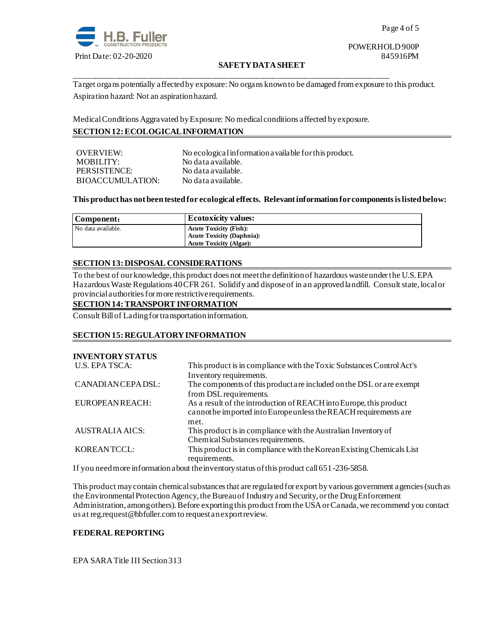

# POWERHOLD 900P

# **SAFETY DATA SHEET**

Target organs potentially affected by exposure: No organs known to be damaged from exposure to this product. Aspiration hazard: Not an aspiration hazard.

Medical Conditions Aggravated by Exposure: No medical conditions affected by exposure. **SECTION 12: ECOLOGICAL INFORMATION**

\_\_\_\_\_\_\_\_\_\_\_\_\_\_\_\_\_\_\_\_\_\_\_\_\_\_\_\_\_\_\_\_\_\_\_\_\_\_\_\_\_\_\_\_\_\_\_\_\_\_\_\_\_\_\_\_\_\_\_\_\_\_\_\_\_\_\_\_\_\_\_\_\_\_\_\_\_\_

# OVERVIEW: No ecological information available for this product. MOBILITY: No data available. PERSISTENCE: No data available. BIOACCUMULATION: No data available.

# **This product has not been tested for ecological effects. Relevant information for components is listed below:**

| Component:         | <b>Ecotoxicity values:</b>       |
|--------------------|----------------------------------|
| No data available. | <b>Acute Toxicity (Fish):</b>    |
|                    | <b>Acute Toxicity (Daphnia):</b> |
|                    | <b>Acute Toxicity (Algae):</b>   |

# **SECTION 13: DISPOSAL CONSIDERATIONS**

To the best of our knowledge, this product does not meet the definition of hazardous waste under the U.S. EPA Hazardous Waste Regulations 40 CFR 261. Solidify and dispose of in an approved landfill. Consult state, local or provincial authorities for more restrictive requirements.

# **SECTION 14: TRANSPORT INFORMATION**

Consult Bill of Lading for transportation information.

# **SECTION 15: REGULATORY INFORMATION**

# **INVENTORY STATUS**

| <b>U.S. EPA TSCA:</b>  | This product is in compliance with the Toxic Substances Control Act's |  |  |
|------------------------|-----------------------------------------------------------------------|--|--|
|                        | Inventory requirements.                                               |  |  |
| CANADIAN CEPA DSL:     | The components of this product are included on the DSL or are exempt  |  |  |
|                        | from DSL requirements.                                                |  |  |
| EUROPEAN REACH:        | As a result of the introduction of REACH into Europe, this product    |  |  |
|                        | cannot be imported into Europe unless the REACH requirements are      |  |  |
|                        | met.                                                                  |  |  |
| <b>AUSTRALIA AICS:</b> | This product is in compliance with the Australian Inventory of        |  |  |
|                        | Chemical Substances requirements.                                     |  |  |
| KOREANTCCL:            | This product is in compliance with the Korean Existing Chemicals List |  |  |
|                        | requirements.                                                         |  |  |

If you need more information about the inventory status of this product call 651-236-5858.

This product may contain chemical substances that are regulated for export by various government agencies (such as the Environmental Protection Agency, the Bureau of Industry and Security, or the Drug Enforcement Administration, among others). Before exporting this product from the USA or Canada, we recommend you contact us at reg.request@hbfuller.com to request an export review.

# **FEDERAL REPORTING**

EPA SARA Title III Section 313